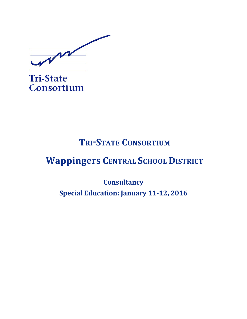M

**Tri-State** Consortium

# **TRI-STATE CONSORTIUM**

# **Wappingers CENTRAL SCHOOL DISTRICT**

**Consultancy Special Education: January 11-12, 2016**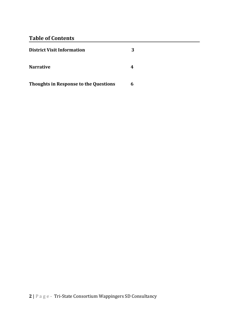# **Table of Contents**

| <b>District Visit Information</b>            | 3 |
|----------------------------------------------|---|
| <b>Narrative</b>                             | 4 |
| <b>Thoughts in Response to the Questions</b> | 6 |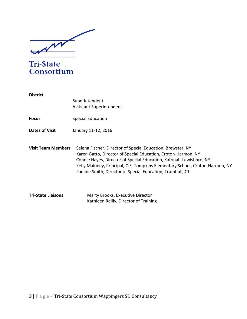

**Tri-State** Consortium

**District** Superintendent Assistant Superintendent **Focus** Special Education **Dates of Visit** January 11-12, 2016 **Visit Team Members** Selena Fischer, Director of Special Education, Brewster, NY Karen Gatto, Director of Special Education, Croton-Harmon, NY Connie Hayes, Director of Special Education, Katonah-Lewisboro, NY Kelly Maloney, Principal, C.E. Tompkins Elementary School, Croton-Harmon, NY Pauline Smith, Director of Special Education, Trumbull, CT **Tri-State Liaisons:** Marty Brooks, Executive Director Kathleen Reilly, Director of Training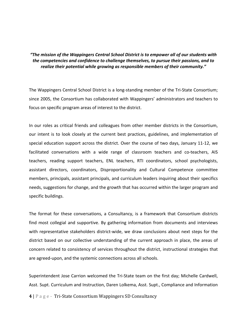# "The mission of the Wappingers Central School District is to empower all of our students with *the competencies and confidence to challenge themselves, to pursue their passions, and to* realize their potential while growing as responsible members of their community."

The Wappingers Central School District is a long-standing member of the Tri-State Consortium; since 2005, the Consortium has collaborated with Wappingers' administrators and teachers to focus on specific program areas of interest to the district.

In our roles as critical friends and colleagues from other member districts in the Consortium, our intent is to look closely at the current best practices, guidelines, and implementation of special education support across the district. Over the course of two days, January 11-12, we facilitated conversations with a wide range of classroom teachers and co-teachers, AIS teachers, reading support teachers, ENL teachers, RTI coordinators, school psychologists, assistant directors, coordinators, Disproportionality and Cultural Competence committee members, principals, assistant principals, and curriculum leaders inquiring about their specifics needs, suggestions for change, and the growth that has occurred within the larger program and specific buildings.

The format for these conversations, a Consultancy, is a framework that Consortium districts find most collegial and supportive. By gathering information from documents and interviews with representative stakeholders district-wide, we draw conclusions about next steps for the district based on our collective understanding of the current approach in place, the areas of concern related to consistency of services throughout the district, instructional strategies that are agreed-upon, and the systemic connections across all schools.

Superintendent Jose Carrion welcomed the Tri-State team on the first day; Michelle Cardwell, Asst. Supt. Curriculum and Instruction, Daren Lolkema, Asst. Supt., Compliance and Information

**4** | P a g e - Tri-State Consortium Wappingers SD Consultancy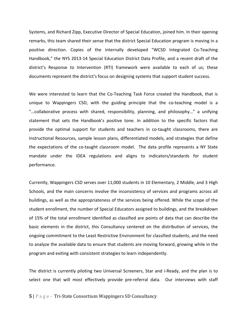Systems, and Richard Zipp, Executive Director of Special Education, joined him. In their opening remarks, this team shared their sense that the district Special Education program is moving in a positive direction. Copies of the internally developed "WCSD Integrated Co-Teaching Handbook," the NYS 2013-14 Special Education District Data Profile, and a recent draft of the district's Response to Intervention (RTI) framework were available to each of us; these documents represent the district's focus on designing systems that support student success.

We were interested to learn that the Co-Teaching Task Force created the Handbook, that is unique to Wappingers CSD, with the guiding principle that the co-teaching model is a "...collaborative process with shared, responsibility, planning, and philosophy..." a unifying statement that sets the Handbook's positive tone. In addition to the specific factors that provide the optimal support for students and teachers in co-taught classrooms, there are Instructional Resources, sample lesson plans, differentiated models, and strategies that define the expectations of the co-taught classroom model. The data profile represents a NY State mandate under the IDEA regulations and aligns to indicators/standards for student performance. 

Currently, Wappingers CSD serves over 11,000 students in 10 Elementary, 2 Middle, and 3 High Schools, and the main concerns involve the inconsistency of services and programs across all buildings, as well as the appropriateness of the services being offered. While the scope of the student enrollment, the number of Special Educators assigned to buildings, and the breakdown of 15% of the total enrollment identified as classified are points of data that can describe the basic elements in the district, this Consultancy centered on the distribution of services, the ongoing commitment to the Least Restrictive Environment for classified students, and the need to analyze the available data to ensure that students are moving forward, growing while in the program and exiting with consistent strategies to learn independently.

The district is currently piloting two Universal Screeners, Star and i-Ready, and the plan is to select one that will most effectively provide pre-referral data. Our interviews with staff

#### **5** | P a g e - Tri-State Consortium Wappingers SD Consultancy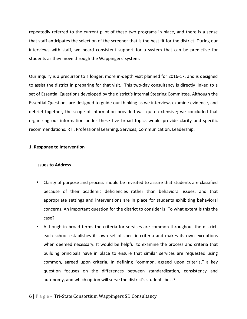repeatedly referred to the current pilot of these two programs in place, and there is a sense that staff anticipates the selection of the screener that is the best fit for the district. During our interviews with staff, we heard consistent support for a system that can be predictive for students as they move through the Wappingers' system.

Our inquiry is a precursor to a longer, more in-depth visit planned for 2016-17, and is designed to assist the district in preparing for that visit. This two-day consultancy is directly linked to a set of Essential Questions developed by the district's internal Steering Committee. Although the Essential Questions are designed to guide our thinking as we interview, examine evidence, and debrief together, the scope of information provided was quite extensive; we concluded that organizing our information under these five broad topics would provide clarity and specific recommendations: RTI, Professional Learning, Services, Communication, Leadership.

# **1. Response to Intervention**

# **Issues to Address**

- Clarity of purpose and process should be revisited to assure that students are classified because of their academic deficiencies rather than behavioral issues, and that appropriate settings and interventions are in place for students exhibiting behavioral concerns. An important question for the district to consider is: To what extent is this the case?
- Although in broad terms the criteria for services are common throughout the district, each school establishes its own set of specific criteria and makes its own exceptions when deemed necessary. It would be helpful to examine the process and criteria that building principals have in place to ensure that similar services are requested using common, agreed upon criteria. In defining "common, agreed upon criteria," a key question focuses on the differences between standardization, consistency and autonomy, and which option will serve the district's students best?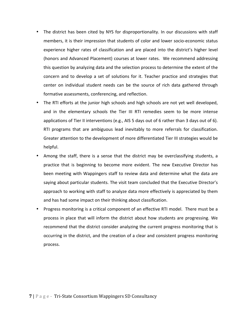- The district has been cited by NYS for disproportionality. In our discussions with staff members, it is their impression that students of color and lower socio-economic status experience higher rates of classification and are placed into the district's higher level (honors and Advanced Placement) courses at lower rates. We recommend addressing this question by analyzing data and the selection process to determine the extent of the concern and to develop a set of solutions for it. Teacher practice and strategies that center on individual student needs can be the source of rich data gathered through formative assessments, conferencing, and reflection.
- The RTI efforts at the junior high schools and high schools are not yet well developed, and in the elementary schools the Tier III RTI remedies seem to be more intense applications of Tier II interventions (e.g., AIS 5 days out of 6 rather than 3 days out of 6). RTI programs that are ambiguous lead inevitably to more referrals for classification. Greater attention to the development of more differentiated Tier III strategies would be helpful.
- Among the staff, there is a sense that the district may be overclassifying students, a practice that is beginning to become more evident. The new Executive Director has been meeting with Wappingers staff to review data and determine what the data are saying about particular students. The visit team concluded that the Executive Director's approach to working with staff to analyze data more effectively is appreciated by them and has had some impact on their thinking about classification.
- Progress monitoring is a critical component of an effective RTI model. There must be a process in place that will inform the district about how students are progressing. We recommend that the district consider analyzing the current progress monitoring that is occurring in the district, and the creation of a clear and consistent progress monitoring process.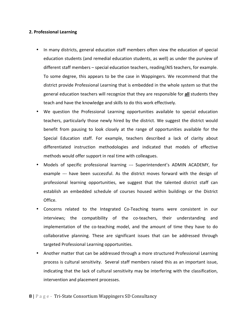### **2. Professional Learning**

- In many districts, general education staff members often view the education of special education students (and remedial education students, as well) as under the purview of different staff members – special education teachers, reading/AIS teachers, for example. To some degree, this appears to be the case in Wappingers. We recommend that the district provide Professional Learning that is embedded in the whole system so that the general education teachers will recognize that they are responsible for **all** students they teach and have the knowledge and skills to do this work effectively.
- We question the Professional Learning opportunities available to special education teachers, particularly those newly hired by the district. We suggest the district would benefit from pausing to look closely at the range of opportunities available for the Special Education staff. For example, teachers described a lack of clarity about differentiated instruction methodologies and indicated that models of effective methods would offer support in real time with colleagues.
- Models of specific professional learning --- Superintendent's ADMIN ACADEMY, for example --- have been successful. As the district moves forward with the design of professional learning opportunities, we suggest that the talented district staff can establish an embedded schedule of courses housed within buildings or the District Office.
- Concerns related to the Integrated Co-Teaching teams were consistent in our interviews; the compatibility of the co-teachers, their understanding and implementation of the co-teaching model, and the amount of time they have to do collaborative planning. These are significant issues that can be addressed through targeted Professional Learning opportunities.
- Another matter that can be addressed through a more structured Professional Learning process is cultural sensitivity. Several staff members raised this as an important issue, indicating that the lack of cultural sensitivity may be interfering with the classification, intervention and placement processes.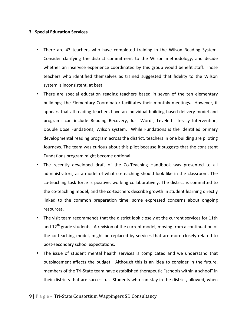### **3. Special Education Services**

- There are 43 teachers who have completed training in the Wilson Reading System. Consider clarifying the district commitment to the Wilson methodology, and decide whether an inservice experience coordinated by this group would benefit staff. Those teachers who identified themselves as trained suggested that fidelity to the Wilson system is inconsistent, at best.
- There are special education reading teachers based in seven of the ten elementary buildings; the Elementary Coordinator facilitates their monthly meetings. However, it appears that all reading teachers have an individual building-based delivery model and programs can include Reading Recovery, Just Words, Leveled Literacy Intervention, Double Dose Fundations, Wilson system. While Fundations is the identified primary developmental reading program across the district, teachers in one building are piloting Journeys. The team was curious about this pilot because it suggests that the consistent Fundations program might become optional.
- The recently developed draft of the Co-Teaching Handbook was presented to all administrators, as a model of what co-teaching should look like in the classroom. The co-teaching task force is positive, working collaboratively. The district is committed to the co-teaching model, and the co-teachers describe growth in student learning directly linked to the common preparation time; some expressed concerns about ongoing resources.
- The visit team recommends that the district look closely at the current services for 11th and  $12^{th}$  grade students. A revision of the current model, moving from a continuation of the co-teaching model, might be replaced by services that are more closely related to post-secondary school expectations.
- The issue of student mental health services is complicated and we understand that outplacement affects the budget. Although this is an idea to consider in the future, members of the Tri-State team have established therapeutic "schools within a school" in their districts that are successful. Students who can stay in the district, allowed, when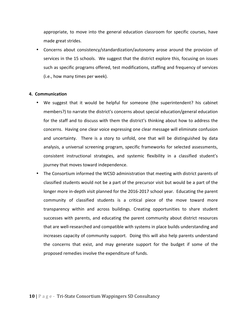appropriate, to move into the general education classroom for specific courses, have made great strides.

• Concerns about consistency/standardization/autonomy arose around the provision of services in the 15 schools. We suggest that the district explore this, focusing on issues such as specific programs offered, test modifications, staffing and frequency of services (i.e., how many times per week).

#### **4. Communication**

- We suggest that it would be helpful for someone (the superintendent? his cabinet members?) to narrate the district's concerns about special education/general education for the staff and to discuss with them the district's thinking about how to address the concerns. Having one clear voice expressing one clear message will eliminate confusion and uncertainty. There is a story to unfold, one that will be distinguished by data analysis, a universal screening program, specific frameworks for selected assessments, consistent instructional strategies, and systemic flexibility in a classified student's journey that moves toward independence.
- The Consortium informed the WCSD administration that meeting with district parents of classified students would not be a part of the precursor visit but would be a part of the longer more in-depth visit planned for the 2016-2017 school year. Educating the parent community of classified students is a critical piece of the move toward more transparency within and across buildings. Creating opportunities to share student successes with parents, and educating the parent community about district resources that are well-researched and compatible with systems in place builds understanding and increases capacity of community support. Doing this will also help parents understand the concerns that exist, and may generate support for the budget if some of the proposed remedies involve the expenditure of funds.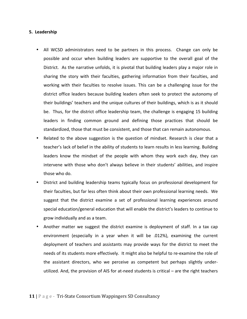### **5. Leadership**

- All WCSD administrators need to be partners in this process. Change can only be possible and occur when building leaders are supportive to the overall goal of the District. As the narrative unfolds, it is pivotal that building leaders play a major role in sharing the story with their faculties, gathering information from their faculties, and working with their faculties to resolve issues. This can be a challenging issue for the district office leaders because building leaders often seek to protect the autonomy of their buildings' teachers and the unique cultures of their buildings, which is as it should be. Thus, for the district office leadership team, the challenge is engaging 15 building leaders in finding common ground and defining those practices that should be standardized, those that must be consistent, and those that can remain autonomous.
- Related to the above suggestion is the question of mindset. Research is clear that a teacher's lack of belief in the ability of students to learn results in less learning. Building leaders know the mindset of the people with whom they work each day, they can intervene with those who don't always believe in their students' abilities, and inspire those who do.
- District and building leadership teams typically focus on professional development for their faculties, but far less often think about their own professional learning needs. We suggest that the district examine a set of professional learning experiences around special education/general education that will enable the district's leaders to continue to grow individually and as a team.
- Another matter we suggest the district examine is deployment of staff. In a tax cap environment (especially in a year when it will be .012%), examining the current deployment of teachers and assistants may provide ways for the district to meet the needs of its students more effectively. It might also be helpful to re-examine the role of the assistant directors, who we perceive as competent but perhaps slightly underutilized. And, the provision of AIS for at-need students is critical – are the right teachers